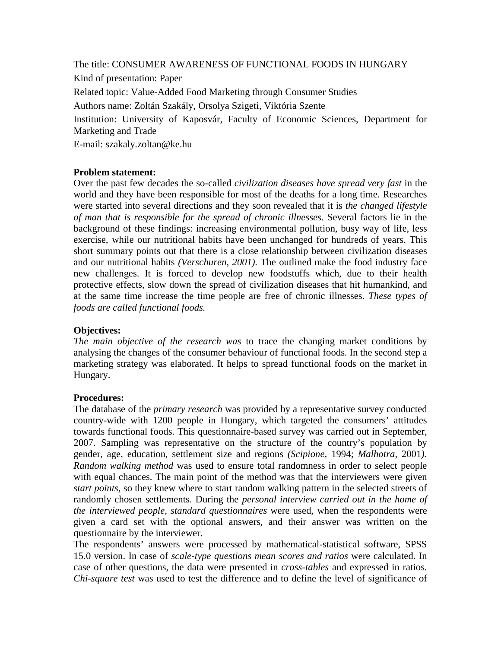The title: CONSUMER AWARENESS OF FUNCTIONAL FOODS IN HUNGARY

Kind of presentation: Paper

Related topic: Value-Added Food Marketing through Consumer Studies

Authors name: Zoltán Szakály, Orsolya Szigeti, Viktória Szente

Institution: University of Kaposvár, Faculty of Economic Sciences, Department for Marketing and Trade

E-mail: szakaly.zoltan@ke.hu

## **Problem statement:**

Over the past few decades the so-called *civilization diseases have spread very fast* in the world and they have been responsible for most of the deaths for a long time. Researches were started into several directions and they soon revealed that it is *the changed lifestyle of man that is responsible for the spread of chronic illnesses.* Several factors lie in the background of these findings: increasing environmental pollution, busy way of life, less exercise, while our nutritional habits have been unchanged for hundreds of years. This short summary points out that there is a close relationship between civilization diseases and our nutritional habits *(Verschuren, 2001)*. The outlined make the food industry face new challenges. It is forced to develop new foodstuffs which, due to their health protective effects, slow down the spread of civilization diseases that hit humankind, and at the same time increase the time people are free of chronic illnesses. *These types of foods are called functional foods.*

# **Objectives:**

*The main objective of the research was* to trace the changing market conditions by analysing the changes of the consumer behaviour of functional foods. In the second step a marketing strategy was elaborated. It helps to spread functional foods on the market in Hungary.

#### **Procedures:**

The database of the *primary research* was provided by a representative survey conducted country-wide with 1200 people in Hungary, which targeted the consumers' attitudes towards functional foods. This questionnaire-based survey was carried out in September, 2007. Sampling was representative on the structure of the country's population by gender, age, education, settlement size and regions *(Scipione,* 1994; *Malhotra,* 2001*)*. *Random walking method* was used to ensure total randomness in order to select people with equal chances. The main point of the method was that the interviewers were given *start points,* so they knew where to start random walking pattern in the selected streets of randomly chosen settlements. During the *personal interview carried out in the home of the interviewed people, standard questionnaires* were used, when the respondents were given a card set with the optional answers, and their answer was written on the questionnaire by the interviewer.

The respondents' answers were processed by mathematical-statistical software, SPSS 15.0 version. In case of *scale-type questions mean scores and ratios* were calculated. In case of other questions, the data were presented in *cross-tables* and expressed in ratios. *Chi-square test* was used to test the difference and to define the level of significance of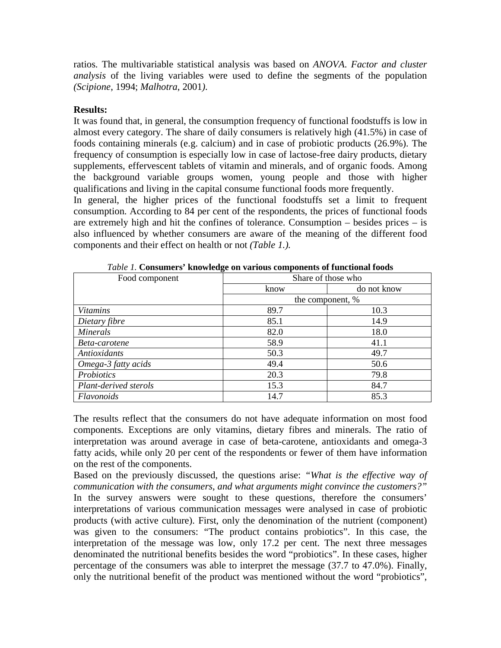ratios. The multivariable statistical analysis was based on *ANOVA*. *Factor and cluster analysis* of the living variables were used to define the segments of the population *(Scipione*, 1994; *Malhotra*, 2001*)*.

### **Results:**

It was found that, in general, the consumption frequency of functional foodstuffs is low in almost every category. The share of daily consumers is relatively high (41.5%) in case of foods containing minerals (e.g. calcium) and in case of probiotic products (26.9%). The frequency of consumption is especially low in case of lactose-free dairy products, dietary supplements, effervescent tablets of vitamin and minerals, and of organic foods. Among the background variable groups women, young people and those with higher qualifications and living in the capital consume functional foods more frequently.

In general, the higher prices of the functional foodstuffs set a limit to frequent consumption. According to 84 per cent of the respondents, the prices of functional foods are extremely high and hit the confines of tolerance. Consumption – besides prices – is also influenced by whether consumers are aware of the meaning of the different food components and their effect on health or not *(Table 1.).* 

| Food component        | Share of those who |             |
|-----------------------|--------------------|-------------|
|                       | know               | do not know |
|                       | the component, %   |             |
| <b>Vitamins</b>       | 89.7               | 10.3        |
| Dietary fibre         | 85.1               | 14.9        |
| <b>Minerals</b>       | 82.0               | 18.0        |
| Beta-carotene         | 58.9               | 41.1        |
| <b>Antioxidants</b>   | 50.3               | 49.7        |
| Omega-3 fatty acids   | 49.4               | 50.6        |
| Probiotics            | 20.3               | 79.8        |
| Plant-derived sterols | 15.3               | 84.7        |
| Flavonoids            | 14.7               | 85.3        |

*Table 1.* **Consumers' knowledge on various components of functional foods** 

The results reflect that the consumers do not have adequate information on most food components. Exceptions are only vitamins, dietary fibres and minerals. The ratio of interpretation was around average in case of beta-carotene, antioxidants and omega-3 fatty acids, while only 20 per cent of the respondents or fewer of them have information on the rest of the components.

Based on the previously discussed, the questions arise: *"What is the effective way of communication with the consumers*, *and what arguments might convince the customers?"*  In the survey answers were sought to these questions, therefore the consumers' interpretations of various communication messages were analysed in case of probiotic products (with active culture). First, only the denomination of the nutrient (component) was given to the consumers: "The product contains probiotics". In this case, the interpretation of the message was low, only 17.2 per cent. The next three messages denominated the nutritional benefits besides the word "probiotics". In these cases, higher percentage of the consumers was able to interpret the message (37.7 to 47.0%). Finally, only the nutritional benefit of the product was mentioned without the word "probiotics",